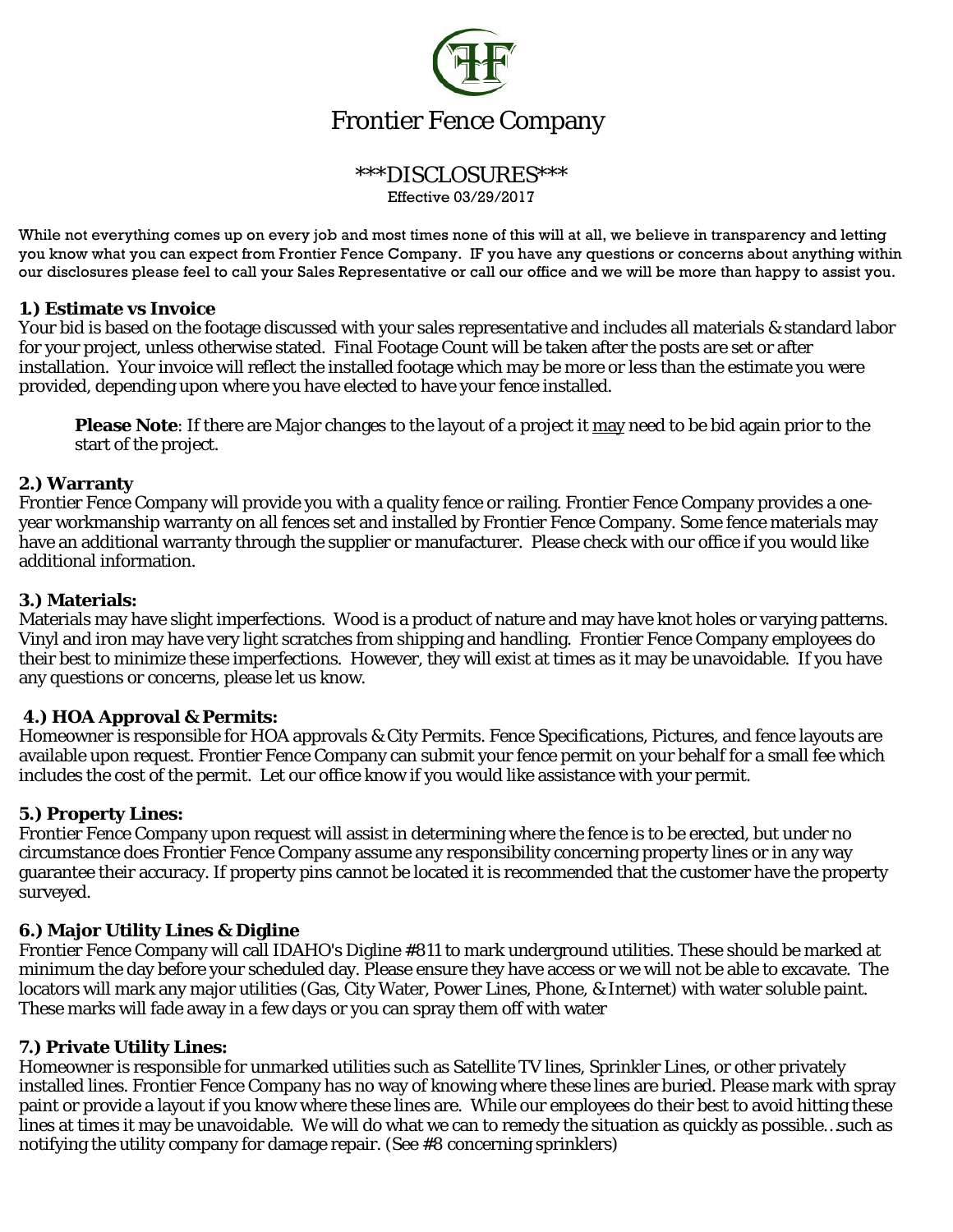

#### \*\*\*DISCLOSURES\*\*\* Effective 03/29/2017

While not everything comes up on every job and most times none of this will at all, we believe in transparency and letting you know what you can expect from Frontier Fence Company. IF you have any questions or concerns about anything within our disclosures please feel to call your Sales Representative or call our office and we will be more than happy to assist you.

### **1.) Estimate vs Invoice**

Your bid is based on the footage discussed with your sales representative and includes all materials & standard labor for your project, unless otherwise stated. Final Footage Count will be taken after the posts are set or after installation. Your invoice will reflect the installed footage which may be more or less than the estimate you were provided, depending upon where you have elected to have your fence installed.

**Please Note**: If there are Major changes to the layout of a project it may need to be bid again prior to the start of the project.

#### **2.) Warranty**

Frontier Fence Company will provide you with a quality fence or railing. Frontier Fence Company provides a oneyear workmanship warranty on all fences set and installed by Frontier Fence Company. Some fence materials may have an additional warranty through the supplier or manufacturer. Please check with our office if you would like additional information.

### **3.) Materials:**

Materials may have slight imperfections. Wood is a product of nature and may have knot holes or varying patterns. Vinyl and iron may have very light scratches from shipping and handling. Frontier Fence Company employees do their best to minimize these imperfections. However, they will exist at times as it may be unavoidable. If you have any questions or concerns, please let us know.

### **4.) HOA Approval & Permits:**

Homeowner is responsible for HOA approvals & City Permits. Fence Specifications, Pictures, and fence layouts are available upon request. Frontier Fence Company can submit your fence permit on your behalf for a small fee which includes the cost of the permit. Let our office know if you would like assistance with your permit.

### **5.) Property Lines:**

Frontier Fence Company upon request will assist in determining where the fence is to be erected, but under no circumstance does Frontier Fence Company assume any responsibility concerning property lines or in any way guarantee their accuracy. If property pins cannot be located it is recommended that the customer have the property surveyed.

### **6.) Major Utility Lines & Digline**

Frontier Fence Company will call IDAHO's Digline #811 to mark underground utilities. These should be marked at minimum the day before your scheduled day. Please ensure they have access or we will not be able to excavate. The locators will mark any major utilities (Gas, City Water, Power Lines, Phone, & Internet) with water soluble paint. These marks will fade away in a few days or you can spray them off with water

### **7.) Private Utility Lines:**

Homeowner is responsible for unmarked utilities such as Satellite TV lines, Sprinkler Lines, or other privately installed lines. Frontier Fence Company has no way of knowing where these lines are buried. Please mark with spray paint or provide a layout if you know where these lines are. While our employees do their best to avoid hitting these lines at times it may be unavoidable. We will do what we can to remedy the situation as quickly as possible…such as notifying the utility company for damage repair. (See #8 concerning sprinklers)